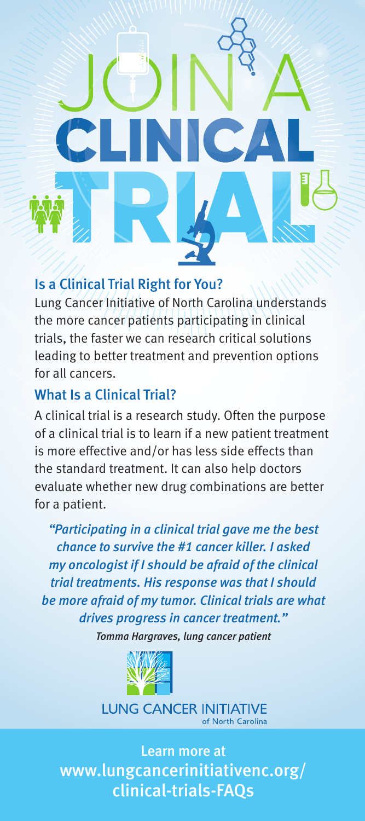

## Is a Clinical Trial Right for You?

Lung Cancer Initiative of North Carolina understands the more cancer patients participating in clinical trials, the faster we can research critical solutions leading to better treatment and prevention options for all cancers.

## What Is a Clinical Trial?

A clinical trial is a research study. Often the purpose of a clinical trial is to learn if a new patient treatment is more effective and/or has less side effects than the standard treatment. It can also help doctors evaluate whether new drug combinations are better for a patient.

*"Participating in a clinical trial gave me the best chance to survive the #1 cancer killer. I asked my oncologist if I should be afraid of the clinical trial treatments. His response was that I should be more afraid of my tumor. Clinical trials are what drives progress in cancer treatment."*

*Tomma Hargraves, lung cancer patient*



**LUNG CANCER INITIATIVE** of North Carolina

Learn more at www.lungcancerinitiativenc.org/ clinical-trials-FAQs